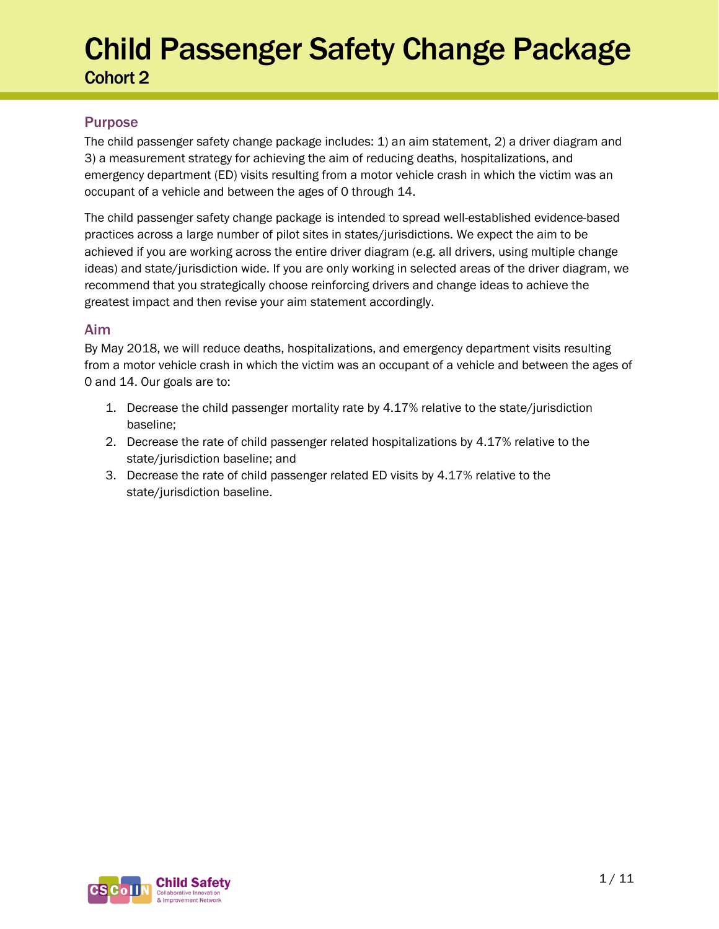### Purpose

The child passenger safety change package includes: 1) an aim statement, 2) a driver diagram and 3) a measurement strategy for achieving the aim of reducing deaths, hospitalizations, and emergency department (ED) visits resulting from a motor vehicle crash in which the victim was an occupant of a vehicle and between the ages of 0 through 14.

The child passenger safety change package is intended to spread well-established evidence-based practices across a large number of pilot sites in states/jurisdictions. We expect the aim to be achieved if you are working across the entire driver diagram (e.g. all drivers, using multiple change ideas) and state/jurisdiction wide. If you are only working in selected areas of the driver diagram, we recommend that you strategically choose reinforcing drivers and change ideas to achieve the greatest impact and then revise your aim statement accordingly.

### Aim

By May 2018, we will reduce deaths, hospitalizations, and emergency department visits resulting from a motor vehicle crash in which the victim was an occupant of a vehicle and between the ages of 0 and 14. Our goals are to:

- 1. Decrease the child passenger mortality rate by 4.17% relative to the state/jurisdiction baseline;
- 2. Decrease the rate of child passenger related hospitalizations by 4.17% relative to the state/jurisdiction baseline; and
- 3. Decrease the rate of child passenger related ED visits by 4.17% relative to the state/jurisdiction baseline.

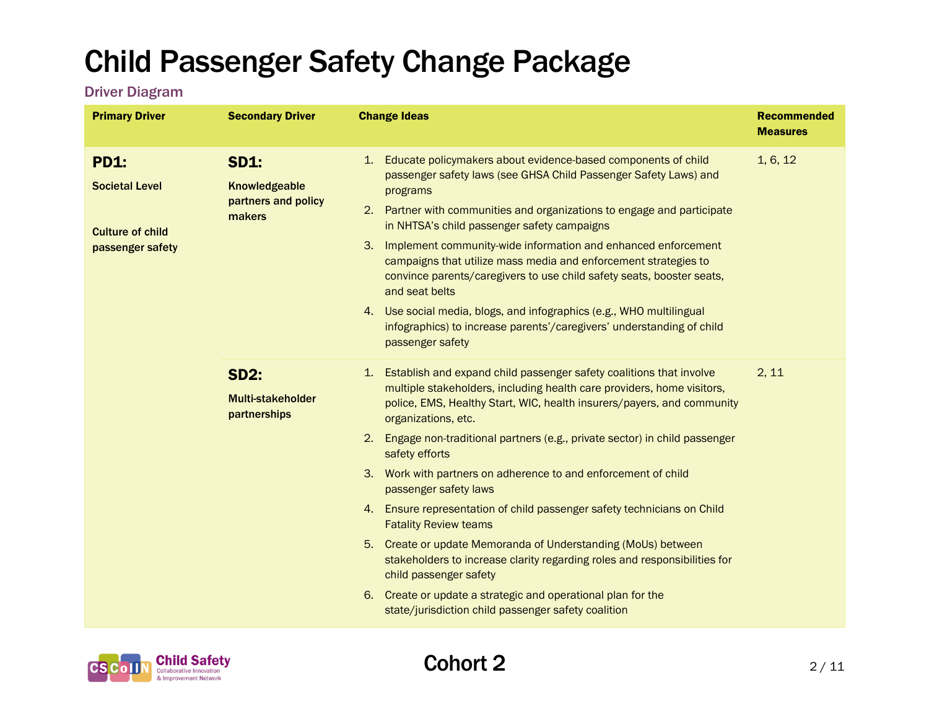### Driver Diagram

| <b>Primary Driver</b>                                                               | <b>Secondary Driver</b>                                       | <b>Change Ideas</b>                                                                                                                                                                                                                                                                                                                                                                                                                                                                                                                                                                                                                                                                | <b>Recommended</b><br><b>Measures</b> |
|-------------------------------------------------------------------------------------|---------------------------------------------------------------|------------------------------------------------------------------------------------------------------------------------------------------------------------------------------------------------------------------------------------------------------------------------------------------------------------------------------------------------------------------------------------------------------------------------------------------------------------------------------------------------------------------------------------------------------------------------------------------------------------------------------------------------------------------------------------|---------------------------------------|
| <b>PD1:</b><br><b>Societal Level</b><br><b>Culture of child</b><br>passenger safety | <b>SD1:</b><br>Knowledgeable<br>partners and policy<br>makers | Educate policymakers about evidence-based components of child<br>1 <sup>1</sup><br>passenger safety laws (see GHSA Child Passenger Safety Laws) and<br>programs<br>Partner with communities and organizations to engage and participate<br>2.<br>in NHTSA's child passenger safety campaigns<br>Implement community-wide information and enhanced enforcement<br>3.<br>campaigns that utilize mass media and enforcement strategies to<br>convince parents/caregivers to use child safety seats, booster seats,<br>and seat belts<br>4. Use social media, blogs, and infographics (e.g., WHO multilingual<br>infographics) to increase parents'/caregivers' understanding of child | 1, 6, 12                              |
|                                                                                     |                                                               | passenger safety                                                                                                                                                                                                                                                                                                                                                                                                                                                                                                                                                                                                                                                                   |                                       |
|                                                                                     | <b>SD2:</b><br><b>Multi-stakeholder</b><br>partnerships       | 1. Establish and expand child passenger safety coalitions that involve<br>multiple stakeholders, including health care providers, home visitors,<br>police, EMS, Healthy Start, WIC, health insurers/payers, and community<br>organizations, etc.                                                                                                                                                                                                                                                                                                                                                                                                                                  | 2, 11                                 |
|                                                                                     |                                                               | 2. Engage non-traditional partners (e.g., private sector) in child passenger<br>safety efforts                                                                                                                                                                                                                                                                                                                                                                                                                                                                                                                                                                                     |                                       |
|                                                                                     |                                                               | 3. Work with partners on adherence to and enforcement of child<br>passenger safety laws                                                                                                                                                                                                                                                                                                                                                                                                                                                                                                                                                                                            |                                       |
|                                                                                     |                                                               | 4. Ensure representation of child passenger safety technicians on Child<br><b>Fatality Review teams</b>                                                                                                                                                                                                                                                                                                                                                                                                                                                                                                                                                                            |                                       |
|                                                                                     |                                                               | 5. Create or update Memoranda of Understanding (MoUs) between<br>stakeholders to increase clarity regarding roles and responsibilities for<br>child passenger safety                                                                                                                                                                                                                                                                                                                                                                                                                                                                                                               |                                       |
|                                                                                     |                                                               | 6. Create or update a strategic and operational plan for the<br>state/jurisdiction child passenger safety coalition                                                                                                                                                                                                                                                                                                                                                                                                                                                                                                                                                                |                                       |

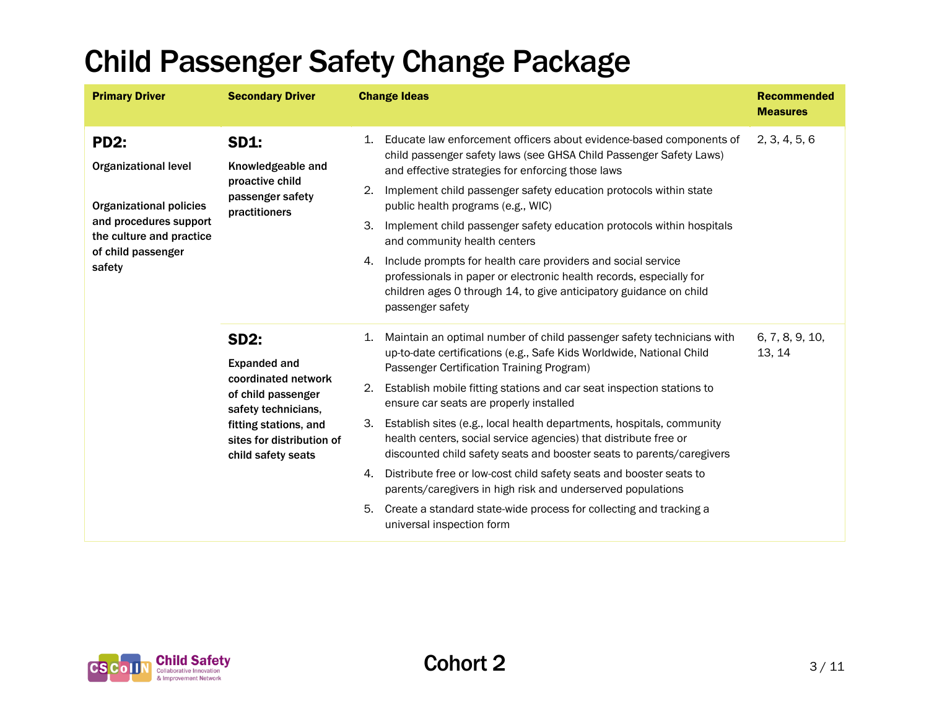| <b>Primary Driver</b>                                                                                                                                              | <b>Secondary Driver</b>                                                                                                                                                            | <b>Change Ideas</b>                                                                                                                                                                                                                                                                                                                                                                                                                                                                                                                                                                                                                                                                                                                                                                                         | <b>Recommended</b><br><b>Measures</b> |
|--------------------------------------------------------------------------------------------------------------------------------------------------------------------|------------------------------------------------------------------------------------------------------------------------------------------------------------------------------------|-------------------------------------------------------------------------------------------------------------------------------------------------------------------------------------------------------------------------------------------------------------------------------------------------------------------------------------------------------------------------------------------------------------------------------------------------------------------------------------------------------------------------------------------------------------------------------------------------------------------------------------------------------------------------------------------------------------------------------------------------------------------------------------------------------------|---------------------------------------|
| <b>PD2:</b><br><b>Organizational level</b><br><b>Organizational policies</b><br>and procedures support<br>the culture and practice<br>of child passenger<br>safety | <b>SD1:</b><br>Knowledgeable and<br>proactive child<br>passenger safety<br>practitioners                                                                                           | Educate law enforcement officers about evidence-based components of<br>1.<br>child passenger safety laws (see GHSA Child Passenger Safety Laws)<br>and effective strategies for enforcing those laws<br>Implement child passenger safety education protocols within state<br>2.<br>public health programs (e.g., WIC)<br>3.<br>Implement child passenger safety education protocols within hospitals<br>and community health centers<br>Include prompts for health care providers and social service<br>4.<br>professionals in paper or electronic health records, especially for<br>children ages 0 through 14, to give anticipatory guidance on child<br>passenger safety                                                                                                                                 | 2, 3, 4, 5, 6                         |
|                                                                                                                                                                    | <b>SD2:</b><br><b>Expanded and</b><br>coordinated network<br>of child passenger<br>safety technicians,<br>fitting stations, and<br>sites for distribution of<br>child safety seats | Maintain an optimal number of child passenger safety technicians with<br>1.<br>up-to-date certifications (e.g., Safe Kids Worldwide, National Child<br>Passenger Certification Training Program)<br>Establish mobile fitting stations and car seat inspection stations to<br>2.<br>ensure car seats are properly installed<br>Establish sites (e.g., local health departments, hospitals, community<br>3.<br>health centers, social service agencies) that distribute free or<br>discounted child safety seats and booster seats to parents/caregivers<br>Distribute free or low-cost child safety seats and booster seats to<br>4.<br>parents/caregivers in high risk and underserved populations<br>Create a standard state-wide process for collecting and tracking a<br>5.<br>universal inspection form | 6, 7, 8, 9, 10,<br>13, 14             |

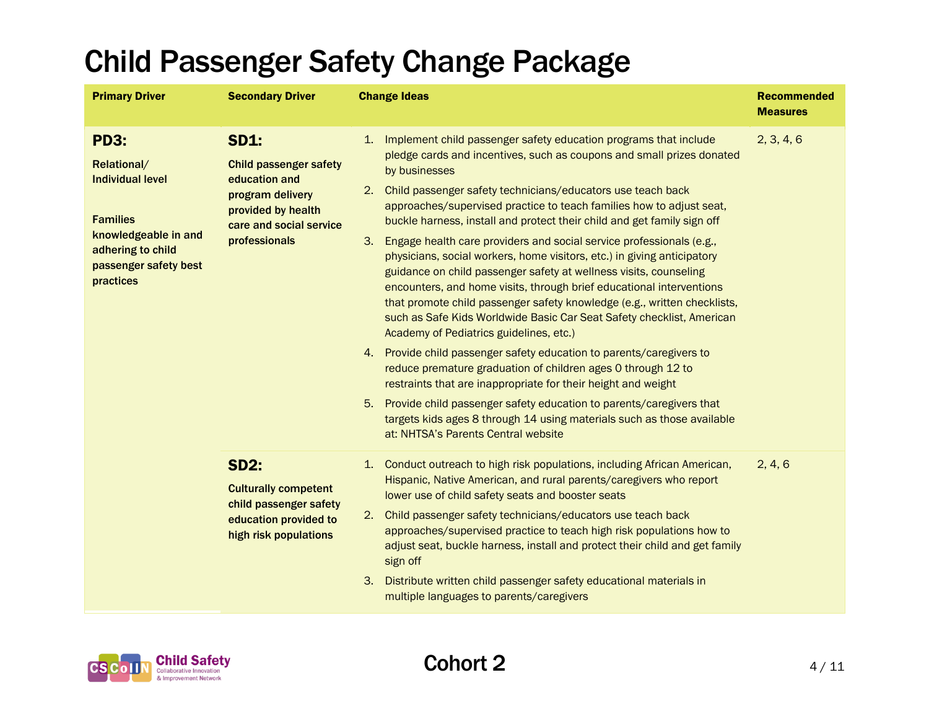| <b>Primary Driver</b>                                                                                                                                       | <b>Secondary Driver</b>                                                                                                                             | <b>Change Ideas</b>                                                                                                                                                                                                                                                                                                                                                                                                                                                                                                                                                                                                                                                                                                                                                                                                                                                                                                                                                                                                                                                                                                                                                                                                                                                                                   | <b>Recommended</b><br><b>Measures</b> |
|-------------------------------------------------------------------------------------------------------------------------------------------------------------|-----------------------------------------------------------------------------------------------------------------------------------------------------|-------------------------------------------------------------------------------------------------------------------------------------------------------------------------------------------------------------------------------------------------------------------------------------------------------------------------------------------------------------------------------------------------------------------------------------------------------------------------------------------------------------------------------------------------------------------------------------------------------------------------------------------------------------------------------------------------------------------------------------------------------------------------------------------------------------------------------------------------------------------------------------------------------------------------------------------------------------------------------------------------------------------------------------------------------------------------------------------------------------------------------------------------------------------------------------------------------------------------------------------------------------------------------------------------------|---------------------------------------|
| <b>PD3:</b><br>Relational/<br><b>Individual level</b><br><b>Families</b><br>knowledgeable in and<br>adhering to child<br>passenger safety best<br>practices | <b>SD1:</b><br><b>Child passenger safety</b><br>education and<br>program delivery<br>provided by health<br>care and social service<br>professionals | Implement child passenger safety education programs that include<br>1.<br>pledge cards and incentives, such as coupons and small prizes donated<br>by businesses<br>2.<br>Child passenger safety technicians/educators use teach back<br>approaches/supervised practice to teach families how to adjust seat,<br>buckle harness, install and protect their child and get family sign off<br>Engage health care providers and social service professionals (e.g.,<br>3.<br>physicians, social workers, home visitors, etc.) in giving anticipatory<br>guidance on child passenger safety at wellness visits, counseling<br>encounters, and home visits, through brief educational interventions<br>that promote child passenger safety knowledge (e.g., written checklists,<br>such as Safe Kids Worldwide Basic Car Seat Safety checklist, American<br>Academy of Pediatrics guidelines, etc.)<br>4. Provide child passenger safety education to parents/caregivers to<br>reduce premature graduation of children ages 0 through 12 to<br>restraints that are inappropriate for their height and weight<br>5.<br>Provide child passenger safety education to parents/caregivers that<br>targets kids ages 8 through 14 using materials such as those available<br>at: NHTSA's Parents Central website | 2, 3, 4, 6                            |
|                                                                                                                                                             | <b>SD2:</b><br><b>Culturally competent</b><br>child passenger safety<br>education provided to<br>high risk populations                              | 1. Conduct outreach to high risk populations, including African American,<br>Hispanic, Native American, and rural parents/caregivers who report<br>lower use of child safety seats and booster seats<br>Child passenger safety technicians/educators use teach back<br>2.<br>approaches/supervised practice to teach high risk populations how to<br>adjust seat, buckle harness, install and protect their child and get family<br>sign off<br>Distribute written child passenger safety educational materials in<br>3.<br>multiple languages to parents/caregivers                                                                                                                                                                                                                                                                                                                                                                                                                                                                                                                                                                                                                                                                                                                                  | 2, 4, 6                               |

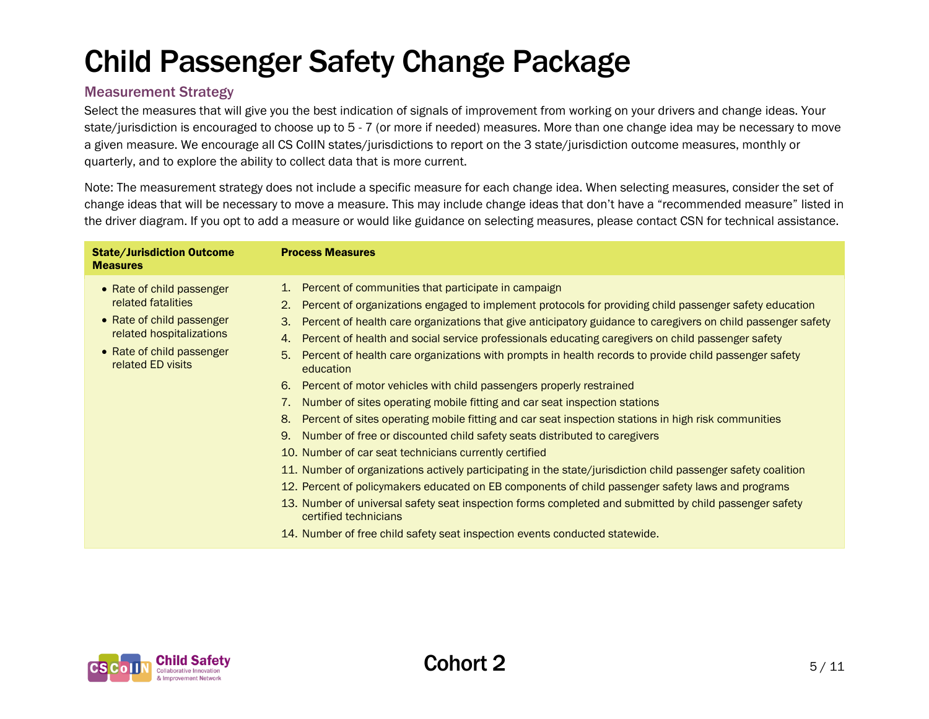### Measurement Strategy

Select the measures that will give you the best indication of signals of improvement from working on your drivers and change ideas. Your state/jurisdiction is encouraged to choose up to 5 - 7 (or more if needed) measures. More than one change idea may be necessary to move a given measure. We encourage all CS CoIIN states/jurisdictions to report on the 3 state/jurisdiction outcome measures, monthly or quarterly, and to explore the ability to collect data that is more current.

Note: The measurement strategy does not include a specific measure for each change idea. When selecting measures, consider the set of change ideas that will be necessary to move a measure. This may include change ideas that don't have a "recommended measure" listed in the driver diagram. If you opt to add a measure or would like guidance on selecting measures, please contact CSN for technical assistance.

| <b>Measures</b>                                                                                                                                                                                |                                                                                                                                                                                                                                                                                                                                                                                                                                                                                                                                                                                                                                                                                                                                                                                                                                                                                                                                                                                                                                                                                                                                                                                                                                                                                                                                                       |
|------------------------------------------------------------------------------------------------------------------------------------------------------------------------------------------------|-------------------------------------------------------------------------------------------------------------------------------------------------------------------------------------------------------------------------------------------------------------------------------------------------------------------------------------------------------------------------------------------------------------------------------------------------------------------------------------------------------------------------------------------------------------------------------------------------------------------------------------------------------------------------------------------------------------------------------------------------------------------------------------------------------------------------------------------------------------------------------------------------------------------------------------------------------------------------------------------------------------------------------------------------------------------------------------------------------------------------------------------------------------------------------------------------------------------------------------------------------------------------------------------------------------------------------------------------------|
| • Rate of child passenger<br>related fatalities<br>• Rate of child passenger<br>3.<br>related hospitalizations<br>4.<br>• Rate of child passenger<br>5.<br>related ED visits<br>6.<br>8.<br>9. | 1. Percent of communities that participate in campaign<br>Percent of organizations engaged to implement protocols for providing child passenger safety education<br>Percent of health care organizations that give anticipatory guidance to caregivers on child passenger safety<br>Percent of health and social service professionals educating caregivers on child passenger safety<br>Percent of health care organizations with prompts in health records to provide child passenger safety<br>education<br>Percent of motor vehicles with child passengers properly restrained<br>Number of sites operating mobile fitting and car seat inspection stations<br>Percent of sites operating mobile fitting and car seat inspection stations in high risk communities<br>Number of free or discounted child safety seats distributed to caregivers<br>10. Number of car seat technicians currently certified<br>11. Number of organizations actively participating in the state/jurisdiction child passenger safety coalition<br>12. Percent of policymakers educated on EB components of child passenger safety laws and programs<br>13. Number of universal safety seat inspection forms completed and submitted by child passenger safety<br>certified technicians<br>14. Number of free child safety seat inspection events conducted statewide. |

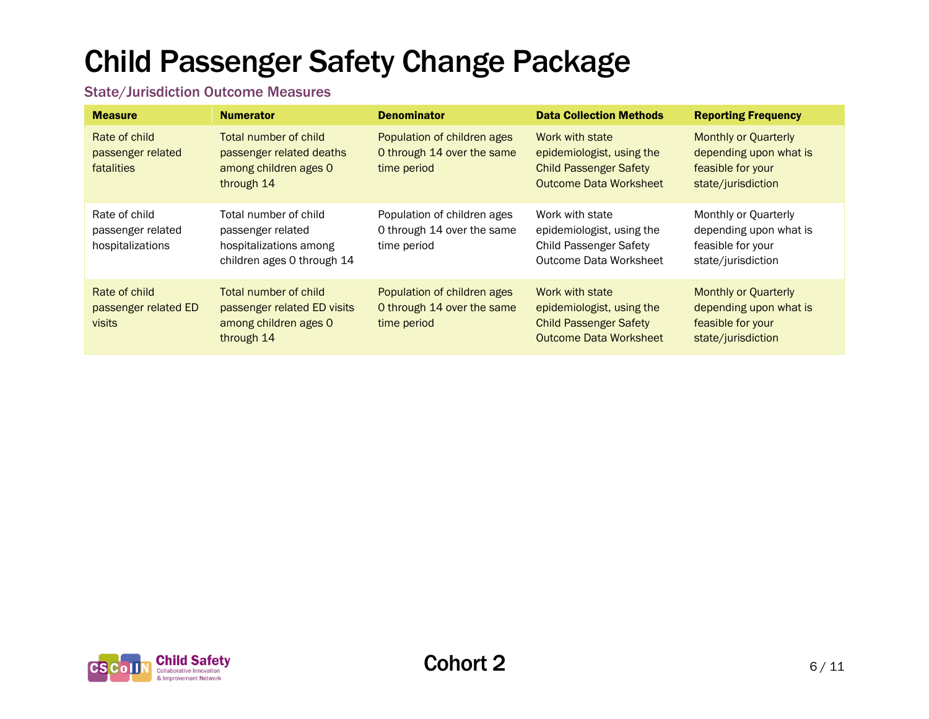### State/Jurisdiction Outcome Measures

| <b>Measure</b>                                         | <b>Numerator</b>                                                                                   | <b>Denominator</b>                                                       | <b>Data Collection Methods</b>                                                                                 | <b>Reporting Frequency</b>                                                                       |
|--------------------------------------------------------|----------------------------------------------------------------------------------------------------|--------------------------------------------------------------------------|----------------------------------------------------------------------------------------------------------------|--------------------------------------------------------------------------------------------------|
| Rate of child<br>passenger related<br>fatalities       | Total number of child<br>passenger related deaths<br>among children ages 0<br>through 14           | Population of children ages<br>O through 14 over the same<br>time period | Work with state<br>epidemiologist, using the<br><b>Child Passenger Safety</b><br><b>Outcome Data Worksheet</b> | <b>Monthly or Quarterly</b><br>depending upon what is<br>feasible for your<br>state/jurisdiction |
| Rate of child<br>passenger related<br>hospitalizations | Total number of child<br>passenger related<br>hospitalizations among<br>children ages 0 through 14 | Population of children ages<br>0 through 14 over the same<br>time period | Work with state<br>epidemiologist, using the<br><b>Child Passenger Safety</b><br>Outcome Data Worksheet        | Monthly or Quarterly<br>depending upon what is<br>feasible for your<br>state/jurisdiction        |
| Rate of child<br>passenger related ED<br><b>visits</b> | Total number of child<br>passenger related ED visits<br>among children ages 0<br>through 14        | Population of children ages<br>0 through 14 over the same<br>time period | Work with state<br>epidemiologist, using the<br><b>Child Passenger Safety</b><br><b>Outcome Data Worksheet</b> | <b>Monthly or Quarterly</b><br>depending upon what is<br>feasible for your<br>state/jurisdiction |

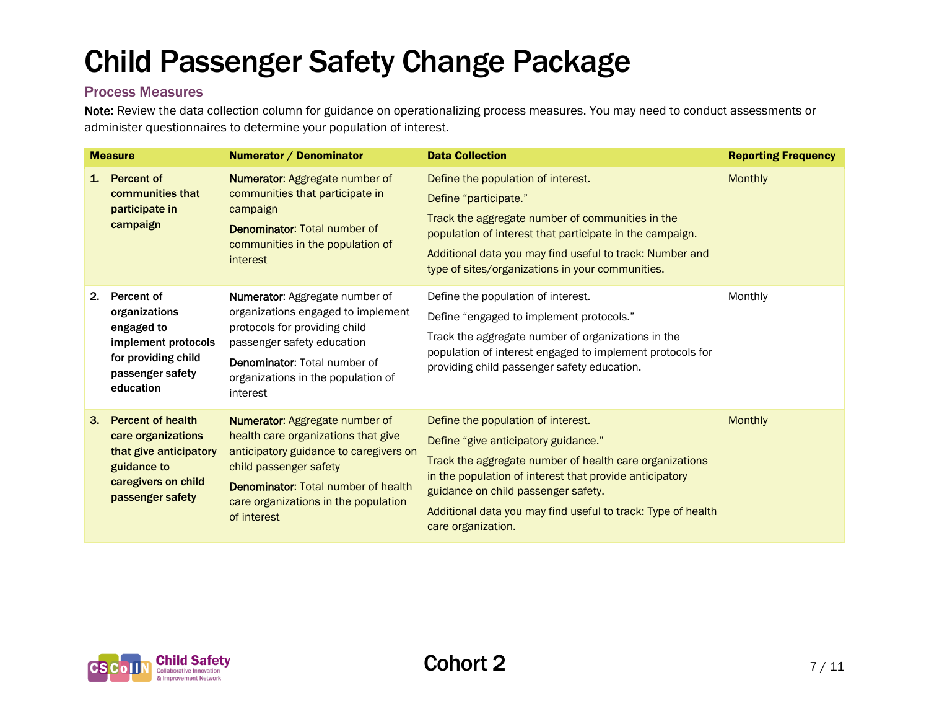### Process Measures

Note: Review the data collection column for guidance on operationalizing process measures. You may need to conduct assessments or administer questionnaires to determine your population of interest.

|                | <b>Measure</b>                                                                                                                     | Numerator / Denominator                                                                                                                                                                                                                               | <b>Data Collection</b>                                                                                                                                                                                                                                                                                                        | <b>Reporting Frequency</b> |
|----------------|------------------------------------------------------------------------------------------------------------------------------------|-------------------------------------------------------------------------------------------------------------------------------------------------------------------------------------------------------------------------------------------------------|-------------------------------------------------------------------------------------------------------------------------------------------------------------------------------------------------------------------------------------------------------------------------------------------------------------------------------|----------------------------|
| 1 <sub>1</sub> | <b>Percent of</b><br>communities that<br>participate in<br>campaign                                                                | <b>Numerator: Aggregate number of</b><br>communities that participate in<br>campaign<br><b>Denominator: Total number of</b><br>communities in the population of<br>interest                                                                           | Define the population of interest.<br>Define "participate."<br>Track the aggregate number of communities in the<br>population of interest that participate in the campaign.<br>Additional data you may find useful to track: Number and<br>type of sites/organizations in your communities.                                   | <b>Monthly</b>             |
| 2.             | <b>Percent of</b><br>organizations<br>engaged to<br>implement protocols<br>for providing child<br>passenger safety<br>education    | Numerator: Aggregate number of<br>organizations engaged to implement<br>protocols for providing child<br>passenger safety education<br>Denominator: Total number of<br>organizations in the population of<br>interest                                 | Define the population of interest.<br>Define "engaged to implement protocols."<br>Track the aggregate number of organizations in the<br>population of interest engaged to implement protocols for<br>providing child passenger safety education.                                                                              | Monthly                    |
| 3.             | <b>Percent of health</b><br>care organizations<br>that give anticipatory<br>guidance to<br>caregivers on child<br>passenger safety | <b>Numerator: Aggregate number of</b><br>health care organizations that give<br>anticipatory guidance to caregivers on<br>child passenger safety<br><b>Denominator: Total number of health</b><br>care organizations in the population<br>of interest | Define the population of interest.<br>Define "give anticipatory guidance."<br>Track the aggregate number of health care organizations<br>in the population of interest that provide anticipatory<br>guidance on child passenger safety.<br>Additional data you may find useful to track: Type of health<br>care organization. | <b>Monthly</b>             |

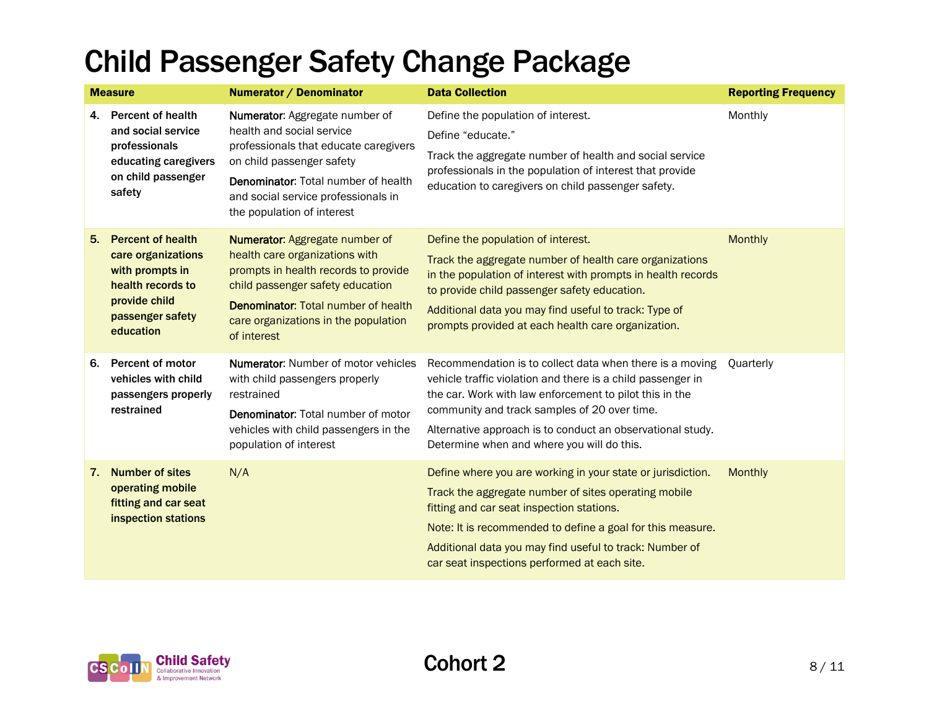| <b>Measure</b> |                                                                                                                                          | Numerator / Denominator                                                                                                                                                                                                                              | <b>Data Collection</b>                                                                                                                                                                                                                                                                                                                         | <b>Reporting Frequency</b> |
|----------------|------------------------------------------------------------------------------------------------------------------------------------------|------------------------------------------------------------------------------------------------------------------------------------------------------------------------------------------------------------------------------------------------------|------------------------------------------------------------------------------------------------------------------------------------------------------------------------------------------------------------------------------------------------------------------------------------------------------------------------------------------------|----------------------------|
| 4.             | <b>Percent of health</b><br>and social service<br>professionals<br>educating caregivers<br>on child passenger<br>safety                  | Numerator: Aggregate number of<br>health and social service<br>professionals that educate caregivers<br>on child passenger safety<br><b>Denominator:</b> Total number of health<br>and social service professionals in<br>the population of interest | Define the population of interest.<br>Define "educate."<br>Track the aggregate number of health and social service<br>professionals in the population of interest that provide<br>education to caregivers on child passenger safety.                                                                                                           | Monthly                    |
| 5.             | <b>Percent of health</b><br>care organizations<br>with prompts in<br>health records to<br>provide child<br>passenger safety<br>education | Numerator: Aggregate number of<br>health care organizations with<br>prompts in health records to provide<br>child passenger safety education<br><b>Denominator: Total number of health</b><br>care organizations in the population<br>of interest    | Define the population of interest.<br>Track the aggregate number of health care organizations<br>in the population of interest with prompts in health records<br>to provide child passenger safety education.<br>Additional data you may find useful to track: Type of<br>prompts provided at each health care organization.                   | <b>Monthly</b>             |
| 6.             | <b>Percent of motor</b><br>vehicles with child<br>passengers properly<br>restrained                                                      | <b>Numerator:</b> Number of motor vehicles<br>with child passengers properly<br>restrained<br><b>Denominator:</b> Total number of motor<br>vehicles with child passengers in the<br>population of interest                                           | Recommendation is to collect data when there is a moving<br>vehicle traffic violation and there is a child passenger in<br>the car. Work with law enforcement to pilot this in the<br>community and track samples of 20 over time.<br>Alternative approach is to conduct an observational study.<br>Determine when and where you will do this. | Ouarterly                  |
| 7.             | <b>Number of sites</b><br>operating mobile<br>fitting and car seat<br>inspection stations                                                | N/A                                                                                                                                                                                                                                                  | Define where you are working in your state or jurisdiction.<br>Track the aggregate number of sites operating mobile<br>fitting and car seat inspection stations.<br>Note: It is recommended to define a goal for this measure.<br>Additional data you may find useful to track: Number of<br>car seat inspections performed at each site.      | <b>Monthly</b>             |

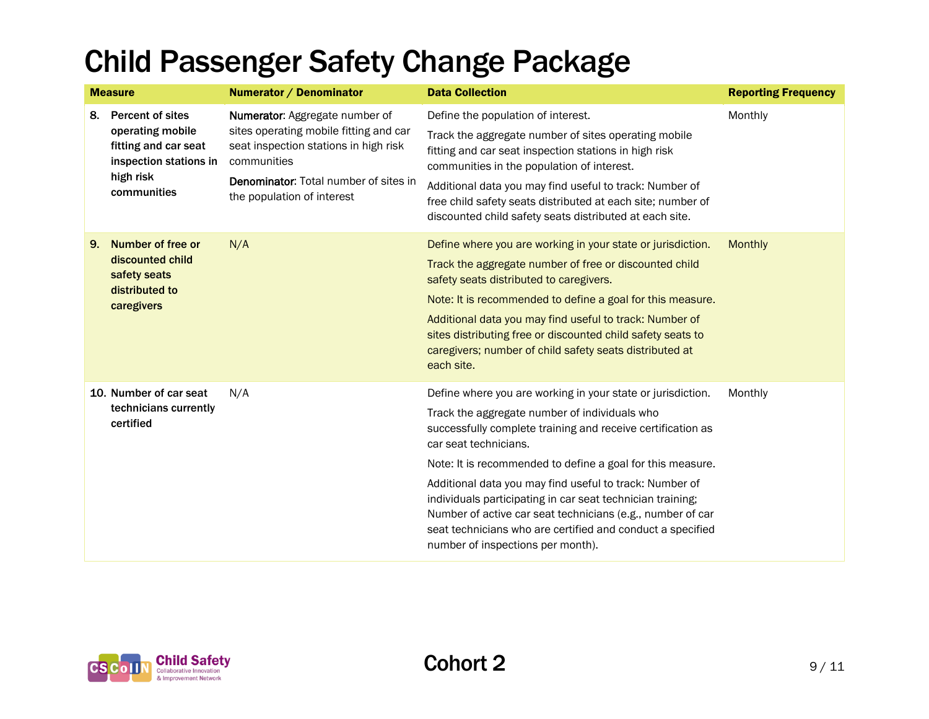|    | <b>Measure</b>                                                                                                            | Numerator / Denominator                                                                                                                                                                                        | <b>Data Collection</b>                                                                                                                                                                                                                                                                                                                                                                                                                                                                                                                                       | <b>Reporting Frequency</b> |
|----|---------------------------------------------------------------------------------------------------------------------------|----------------------------------------------------------------------------------------------------------------------------------------------------------------------------------------------------------------|--------------------------------------------------------------------------------------------------------------------------------------------------------------------------------------------------------------------------------------------------------------------------------------------------------------------------------------------------------------------------------------------------------------------------------------------------------------------------------------------------------------------------------------------------------------|----------------------------|
| 8. | <b>Percent of sites</b><br>operating mobile<br>fitting and car seat<br>inspection stations in<br>high risk<br>communities | Numerator: Aggregate number of<br>sites operating mobile fitting and car<br>seat inspection stations in high risk<br>communities<br><b>Denominator:</b> Total number of sites in<br>the population of interest | Define the population of interest.<br>Track the aggregate number of sites operating mobile<br>fitting and car seat inspection stations in high risk<br>communities in the population of interest.<br>Additional data you may find useful to track: Number of<br>free child safety seats distributed at each site; number of<br>discounted child safety seats distributed at each site.                                                                                                                                                                       | Monthly                    |
| 9. | Number of free or<br>discounted child<br>safety seats<br>distributed to<br>caregivers                                     | N/A                                                                                                                                                                                                            | Define where you are working in your state or jurisdiction.<br>Track the aggregate number of free or discounted child<br>safety seats distributed to caregivers.<br>Note: It is recommended to define a goal for this measure.<br>Additional data you may find useful to track: Number of<br>sites distributing free or discounted child safety seats to<br>caregivers; number of child safety seats distributed at<br>each site.                                                                                                                            | <b>Monthly</b>             |
|    | 10. Number of car seat<br>technicians currently<br>certified                                                              | N/A                                                                                                                                                                                                            | Define where you are working in your state or jurisdiction.<br>Track the aggregate number of individuals who<br>successfully complete training and receive certification as<br>car seat technicians.<br>Note: It is recommended to define a goal for this measure.<br>Additional data you may find useful to track: Number of<br>individuals participating in car seat technician training;<br>Number of active car seat technicians (e.g., number of car<br>seat technicians who are certified and conduct a specified<br>number of inspections per month). | Monthly                    |

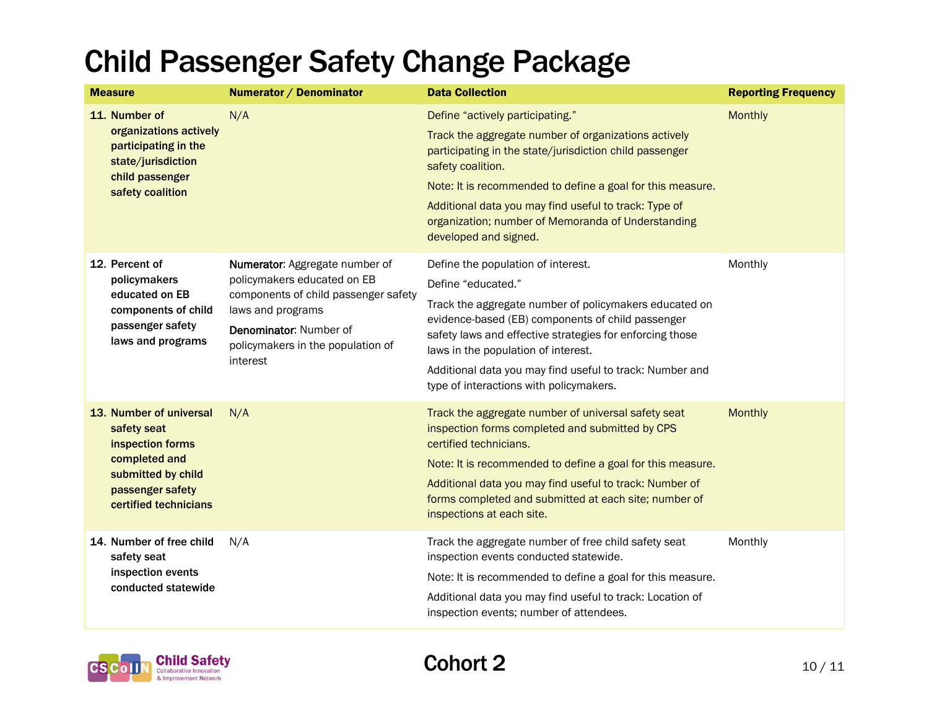| <b>Measure</b>                                                                                                                                 | Numerator / Denominator                                                                                                                                                                               | <b>Data Collection</b>                                                                                                                                                                                                                                                                                                                                                            | <b>Reporting Frequency</b> |
|------------------------------------------------------------------------------------------------------------------------------------------------|-------------------------------------------------------------------------------------------------------------------------------------------------------------------------------------------------------|-----------------------------------------------------------------------------------------------------------------------------------------------------------------------------------------------------------------------------------------------------------------------------------------------------------------------------------------------------------------------------------|----------------------------|
| 11. Number of<br>organizations actively<br>participating in the<br>state/jurisdiction<br>child passenger<br>safety coalition                   | N/A                                                                                                                                                                                                   | Define "actively participating."<br>Track the aggregate number of organizations actively<br>participating in the state/jurisdiction child passenger<br>safety coalition.<br>Note: It is recommended to define a goal for this measure.<br>Additional data you may find useful to track: Type of<br>organization; number of Memoranda of Understanding<br>developed and signed.    | <b>Monthly</b>             |
| 12. Percent of<br>policymakers<br>educated on EB<br>components of child<br>passenger safety<br>laws and programs                               | Numerator: Aggregate number of<br>policymakers educated on EB<br>components of child passenger safety<br>laws and programs<br>Denominator: Number of<br>policymakers in the population of<br>interest | Define the population of interest.<br>Define "educated."<br>Track the aggregate number of policymakers educated on<br>evidence-based (EB) components of child passenger<br>safety laws and effective strategies for enforcing those<br>laws in the population of interest.<br>Additional data you may find useful to track: Number and<br>type of interactions with policymakers. | Monthly                    |
| 13. Number of universal<br>safety seat<br>inspection forms<br>completed and<br>submitted by child<br>passenger safety<br>certified technicians | N/A                                                                                                                                                                                                   | Track the aggregate number of universal safety seat<br>inspection forms completed and submitted by CPS<br>certified technicians.<br>Note: It is recommended to define a goal for this measure.<br>Additional data you may find useful to track: Number of<br>forms completed and submitted at each site; number of<br>inspections at each site.                                   | <b>Monthly</b>             |
| 14. Number of free child<br>safety seat<br>inspection events<br>conducted statewide                                                            | N/A                                                                                                                                                                                                   | Track the aggregate number of free child safety seat<br>inspection events conducted statewide.<br>Note: It is recommended to define a goal for this measure.<br>Additional data you may find useful to track: Location of<br>inspection events; number of attendees.                                                                                                              | Monthly                    |